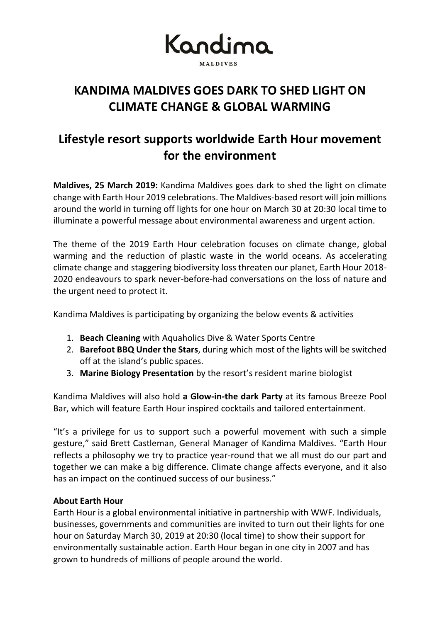

**KANDIMA MALDIVES GOES DARK TO SHED LIGHT ON CLIMATE CHANGE & GLOBAL WARMING**

### **Lifestyle resort supports worldwide Earth Hour movement for the environment**

**Maldives, 25 March 2019:** Kandima Maldives goes dark to shed the light on climate change with Earth Hour 2019 celebrations. The Maldives-based resort will join millions around the world in turning off lights for one hour on March 30 at 20:30 local time to illuminate a powerful message about environmental awareness and urgent action.

The theme of the 2019 Earth Hour celebration focuses on climate change, global warming and the reduction of plastic waste in the world oceans. As accelerating climate change and staggering biodiversity loss threaten our planet, Earth Hour 2018- 2020 endeavours to spark never-before-had conversations on the loss of nature and the urgent need to protect it.

Kandima Maldives is participating by organizing the below events & activities

- 1. **Beach Cleaning** with Aquaholics Dive & Water Sports Centre
- 2. **Barefoot BBQ Under the Stars**, during which most of the lights will be switched off at the island's public spaces.
- 3. **Marine Biology Presentation** by the resort's resident marine biologist

Kandima Maldives will also hold **a Glow-in-the dark Party** at its famous Breeze Pool Bar, which will feature Earth Hour inspired cocktails and tailored entertainment.

"It's a privilege for us to support such a powerful movement with such a simple gesture," said Brett Castleman, General Manager of Kandima Maldives. "Earth Hour reflects a philosophy we try to practice year-round that we all must do our part and together we can make a big difference. Climate change affects everyone, and it also has an impact on the continued success of our business."

### **About Earth Hour**

Earth Hour is a global environmental initiative in partnership with WWF. Individuals, businesses, governments and communities are invited to turn out their lights for one hour on Saturday March 30, 2019 at 20:30 (local time) to show their support for environmentally sustainable action. Earth Hour began in one city in 2007 and has grown to hundreds of millions of people around the world.